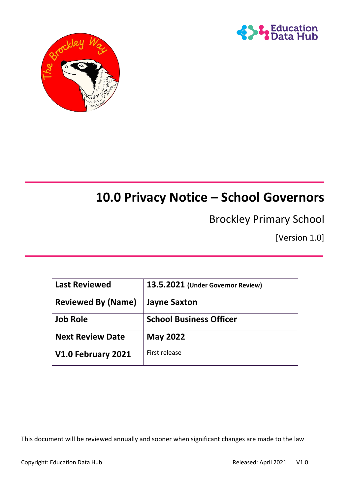



# **10.0 Privacy Notice – School Governors**

# Brockley Primary School

[Version 1.0]

| <b>Last Reviewed</b>      | 13.5.2021 (Under Governor Review) |
|---------------------------|-----------------------------------|
| <b>Reviewed By (Name)</b> | <b>Jayne Saxton</b>               |
| <b>Job Role</b>           | <b>School Business Officer</b>    |
| <b>Next Review Date</b>   | <b>May 2022</b>                   |
| V1.0 February 2021        | First release                     |

This document will be reviewed annually and sooner when significant changes are made to the law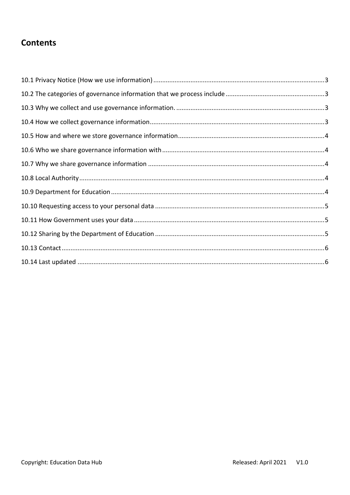# **Contents**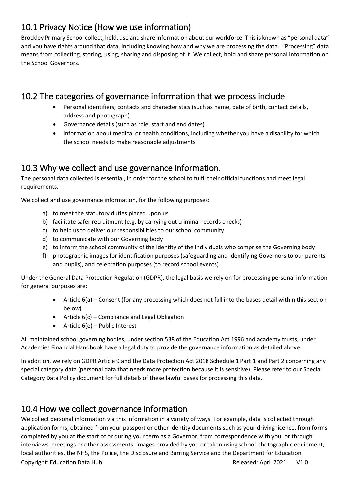# <span id="page-2-0"></span>10.1 Privacy Notice (How we use information)

Brockley Primary School collect, hold, use and share information about our workforce. This is known as "personal data" and you have rights around that data, including knowing how and why we are processing the data. "Processing" data means from collecting, storing, using, sharing and disposing of it. We collect, hold and share personal information on the School Governors.

# <span id="page-2-1"></span>10.2 The categories of governance information that we process include

- Personal identifiers, contacts and characteristics (such as name, date of birth, contact details, address and photograph)
- Governance details (such as role, start and end dates)
- information about medical or health conditions, including whether you have a disability for which the school needs to make reasonable adjustments

### <span id="page-2-2"></span>10.3 Why we collect and use governance information.

The personal data collected is essential, in order for the school to fulfil their official functions and meet legal requirements.

We collect and use governance information, for the following purposes:

- a) to meet the statutory duties placed upon us
- b) facilitate safer recruitment (e.g. by carrying out criminal records checks)
- c) to help us to deliver our responsibilities to our school community
- d) to communicate with our Governing body
- e) to inform the school community of the identity of the individuals who comprise the Governing body
- f) photographic images for identification purposes (safeguarding and identifying Governors to our parents and pupils), and celebration purposes (to record school events)

Under the General Data Protection Regulation (GDPR), the legal basis we rely on for processing personal information for general purposes are:

- Article 6(a) Consent (for any processing which does not fall into the bases detail within this section below)
- Article 6(c) Compliance and Legal Obligation
- $\bullet$  Article 6(e) Public Interest

All maintained school governing bodies, under section 538 of the Education Act 1996 and academy trusts, under Academies Financial Handbook have a legal duty to provide the governance information as detailed above.

In addition, we rely on GDPR Article 9 and the Data Protection Act 2018 Schedule 1 Part 1 and Part 2 concerning any special category data (personal data that needs more protection because it is sensitive). Please refer to our Special Category Data Policy document for full details of these lawful bases for processing this data.

#### <span id="page-2-3"></span>10.4 How we collect governance information

Copyright: Education Data Hub Released: April 2021 V1.0 We collect personal information via this information in a variety of ways. For example, data is collected through application forms, obtained from your passport or other identity documents such as your driving licence, from forms completed by you at the start of or during your term as a Governor, from correspondence with you, or through interviews, meetings or other assessments, images provided by you or taken using school photographic equipment, local authorities, the NHS, the Police, the Disclosure and Barring Service and the Department for Education.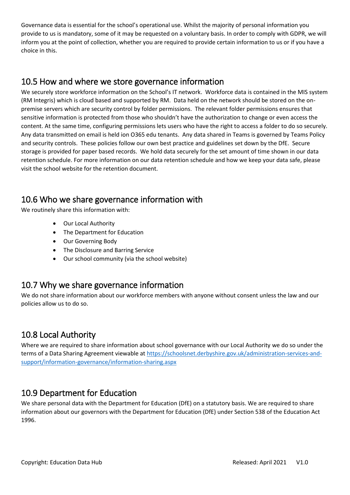Governance data is essential for the school's operational use. Whilst the majority of personal information you provide to us is mandatory, some of it may be requested on a voluntary basis. In order to comply with GDPR, we will inform you at the point of collection, whether you are required to provide certain information to us or if you have a choice in this.

#### <span id="page-3-0"></span>10.5 How and where we store governance information

We securely store workforce information on the School's IT network. Workforce data is contained in the MIS system (RM Integris) which is cloud based and supported by RM. Data held on the network should be stored on the onpremise servers which are security control by folder permissions. The relevant folder permissions ensures that sensitive information is protected from those who shouldn't have the authorization to change or even access the content. At the same time, configuring permissions lets users who have the right to access a folder to do so securely. Any data transmitted on email is held ion O365 edu tenants. Any data shared in Teams is governed by Teams Policy and security controls. These policies follow our own best practice and guidelines set down by the DfE. Secure storage is provided for paper based records. We hold data securely for the set amount of time shown in our data retention schedule. For more information on our data retention schedule and how we keep your data safe, please visit the school website for the retention document.

# <span id="page-3-1"></span>10.6 Who we share governance information with

We routinely share this information with:

- Our Local Authority
- The Department for Education
- Our Governing Body
- The Disclosure and Barring Service
- Our school community (via the school website)

#### <span id="page-3-2"></span>10.7 Why we share governance information

We do not share information about our workforce members with anyone without consent unless the law and our policies allow us to do so.

### <span id="page-3-3"></span>10.8 Local Authority

Where we are required to share information about school governance with our Local Authority we do so under the terms of a Data Sharing Agreement viewable a[t https://schoolsnet.derbyshire.gov.uk/administration-services-and](https://schoolsnet.derbyshire.gov.uk/administration-services-and-support/information-governance/information-sharing.aspx)[support/information-governance/information-sharing.aspx](https://schoolsnet.derbyshire.gov.uk/administration-services-and-support/information-governance/information-sharing.aspx)

#### <span id="page-3-4"></span>10.9 Department for Education

We share personal data with the Department for Education (DfE) on a statutory basis. We are required to share information about our governors with the Department for Education (DfE) under Section 538 of the Education Act 1996.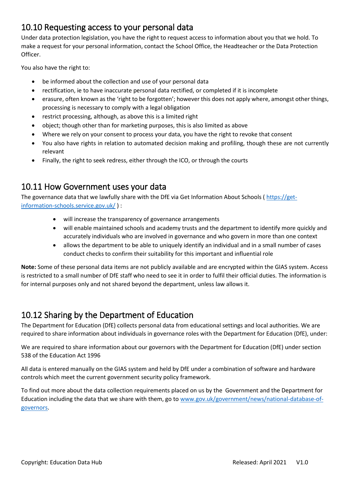#### <span id="page-4-0"></span>10.10 Requesting access to your personal data

Under data protection legislation, you have the right to request access to information about you that we hold. To make a request for your personal information, contact the School Office, the Headteacher or the Data Protection Officer.

You also have the right to:

- be informed about the collection and use of your personal data
- rectification, ie to have inaccurate personal data rectified, or completed if it is incomplete
- erasure, often known as the 'right to be forgotten'; however this does not apply where, amongst other things, processing is necessary to comply with a legal obligation
- restrict processing, although, as above this is a limited right
- object; though other than for marketing purposes, this is also limited as above
- Where we rely on your consent to process your data, you have the right to revoke that consent
- You also have rights in relation to automated decision making and profiling, though these are not currently relevant
- Finally, the right to seek redress, either through the ICO, or through the courts

#### <span id="page-4-1"></span>10.11 How Government uses your data

The governance data that we lawfully share with the DfE via Get Information About Schools ( [https://get](https://get-information-schools.service.gov.uk/)[information-schools.service.gov.uk/](https://get-information-schools.service.gov.uk/) ) :

- will increase the transparency of governance arrangements
- will enable maintained schools and academy trusts and the department to identify more quickly and accurately individuals who are involved in governance and who govern in more than one context
- allows the department to be able to uniquely identify an individual and in a small number of cases conduct checks to confirm their suitability for this important and influential role

**Note:** Some of these personal data items are not publicly available and are encrypted within the GIAS system. Access is restricted to a small number of DfE staff who need to see it in order to fulfil their official duties. The information is for internal purposes only and not shared beyond the department, unless law allows it.

# <span id="page-4-2"></span>10.12 Sharing by the Department of Education

The Department for Education (DfE) collects personal data from educational settings and local authorities. We are required to share information about individuals in governance roles with the Department for Education (DfE), under:

We are required to share information about our governors with the Department for Education (DfE) under section 538 of the Education Act 1996

All data is entered manually on the GIAS system and held by DfE under a combination of software and hardware controls which meet the current government security policy framework.

To find out more about the data collection requirements placed on us by the Government and the Department for Education including the data that we share with them, go t[o www.gov.uk/government/news/national-database-of](http://www.gov.uk/government/news/national-database-of-governors)[governors.](http://www.gov.uk/government/news/national-database-of-governors)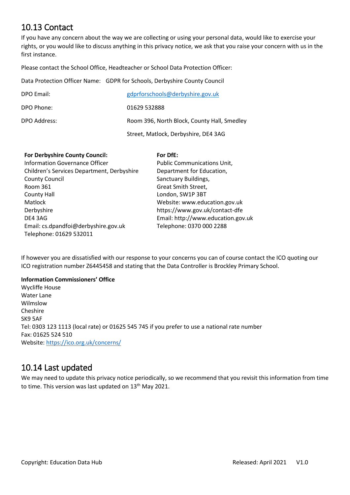### <span id="page-5-0"></span>10.13 Contact

If you have any concern about the way we are collecting or using your personal data, would like to exercise your rights, or you would like to discuss anything in this privacy notice, we ask that you raise your concern with us in the first instance.

Please contact the School Office, Headteacher or School Data Protection Officer:

Data Protection Officer Name: GDPR for Schools, Derbyshire County Council

| DPO Email:   | gdprforschools@derbyshire.gov.uk            |
|--------------|---------------------------------------------|
| DPO Phone:   | 01629 532888                                |
| DPO Address: | Room 396, North Block, County Hall, Smedley |
|              | Street, Matlock, Derbyshire, DE4 3AG        |

| For Derbyshire County Council:             | For DfE:                           |
|--------------------------------------------|------------------------------------|
| Information Governance Officer             | Public Communications Unit,        |
| Children's Services Department, Derbyshire | Department for Education,          |
| <b>County Council</b>                      | Sanctuary Buildings,               |
| Room 361                                   | Great Smith Street,                |
| <b>County Hall</b>                         | London, SW1P 3BT                   |
| Matlock                                    | Website: www.education.gov.uk      |
| Derbyshire                                 | https://www.gov.uk/contact-dfe     |
| DE4 3AG                                    | Email: http://www.education.gov.uk |
| Email: cs.dpandfoi@derbyshire.gov.uk       | Telephone: 0370 000 2288           |
| Telephone: 01629 532011                    |                                    |

If however you are dissatisfied with our response to your concerns you can of course contact the ICO quoting our ICO registration number Z6445458 and stating that the Data Controller is Brockley Primary School.

#### **Information Commissioners' Office**

Wycliffe House Water Lane Wilmslow Cheshire SK9 5AF Tel: 0303 123 1113 (local rate) or 01625 545 745 if you prefer to use a national rate number Fax: 01625 524 510 Website[: https://ico.org.uk/concerns/](https://ico.org.uk/concerns/)

#### <span id="page-5-1"></span>10.14 Last updated

We may need to update this privacy notice periodically, so we recommend that you revisit this information from time to time. This version was last updated on 13<sup>th</sup> May 2021.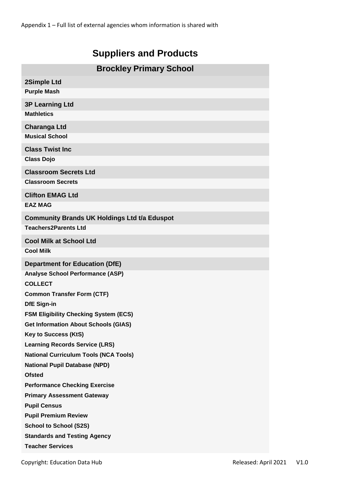# **Suppliers and Products**

| <b>Brockley Primary School</b>                                       |  |  |  |
|----------------------------------------------------------------------|--|--|--|
| 2Simple Ltd                                                          |  |  |  |
| <b>Purple Mash</b>                                                   |  |  |  |
| <b>3P Learning Ltd</b>                                               |  |  |  |
| <b>Mathletics</b>                                                    |  |  |  |
| <b>Charanga Ltd</b>                                                  |  |  |  |
| <b>Musical School</b>                                                |  |  |  |
| <b>Class Twist Inc</b>                                               |  |  |  |
| <b>Class Dojo</b>                                                    |  |  |  |
| <b>Classroom Secrets Ltd</b>                                         |  |  |  |
| <b>Classroom Secrets</b>                                             |  |  |  |
|                                                                      |  |  |  |
| <b>Clifton EMAG Ltd</b><br><b>EAZ MAG</b>                            |  |  |  |
|                                                                      |  |  |  |
| <b>Community Brands UK Holdings Ltd t/a Eduspot</b>                  |  |  |  |
| <b>Teachers2Parents Ltd</b>                                          |  |  |  |
| <b>Cool Milk at School Ltd</b>                                       |  |  |  |
| <b>Cool Milk</b>                                                     |  |  |  |
| <b>Department for Education (DfE)</b>                                |  |  |  |
| <b>Analyse School Performance (ASP)</b>                              |  |  |  |
| <b>COLLECT</b>                                                       |  |  |  |
| <b>Common Transfer Form (CTF)</b>                                    |  |  |  |
| <b>DfE Sign-in</b>                                                   |  |  |  |
| <b>FSM Eligibility Checking System (ECS)</b>                         |  |  |  |
| <b>Get Information About Schools (GIAS)</b>                          |  |  |  |
| <b>Key to Success (KtS)</b><br><b>Learning Records Service (LRS)</b> |  |  |  |
| <b>National Curriculum Tools (NCA Tools)</b>                         |  |  |  |
| <b>National Pupil Database (NPD)</b>                                 |  |  |  |
| <b>Ofsted</b>                                                        |  |  |  |
| <b>Performance Checking Exercise</b>                                 |  |  |  |
| <b>Primary Assessment Gateway</b>                                    |  |  |  |
| <b>Pupil Census</b>                                                  |  |  |  |
| <b>Pupil Premium Review</b>                                          |  |  |  |
| <b>School to School (S2S)</b>                                        |  |  |  |
| <b>Standards and Testing Agency</b>                                  |  |  |  |
| <b>Teacher Services</b>                                              |  |  |  |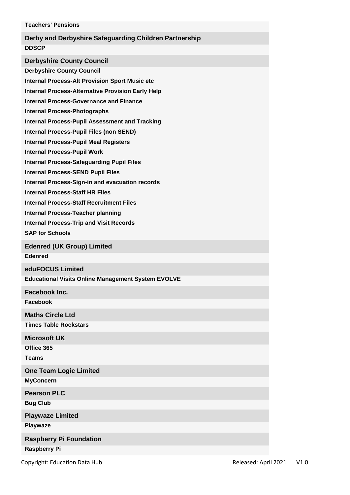| <b>Teachers' Pensions</b><br>Derby and Derbyshire Safeguarding Children Partnership<br><b>DDSCP</b><br><b>Derbyshire County Council</b><br><b>Derbyshire County Council</b><br><b>Internal Process-Alt Provision Sport Music etc</b><br><b>Internal Process-Alternative Provision Early Help</b><br><b>Internal Process-Governance and Finance</b><br><b>Internal Process-Photographs</b><br><b>Internal Process-Pupil Assessment and Tracking</b><br><b>Internal Process-Pupil Files (non SEND)</b><br><b>Internal Process-Pupil Meal Registers</b><br><b>Internal Process-Pupil Work</b><br><b>Internal Process-Safeguarding Pupil Files</b><br><b>Internal Process-SEND Pupil Files</b><br><b>Internal Process-Sign-in and evacuation records</b><br><b>Internal Process-Staff HR Files</b><br><b>Internal Process-Staff Recruitment Files</b><br><b>Internal Process-Teacher planning</b><br><b>Internal Process-Trip and Visit Records</b><br><b>SAP for Schools</b><br><b>Edenred (UK Group) Limited</b><br><b>Edenred</b><br>eduFOCUS Limited<br><b>Educational Visits Online Management System EVOLVE</b><br>Facebook Inc.<br><b>Facebook</b><br><b>Maths Circle Ltd</b><br><b>Times Table Rockstars</b><br><b>Microsoft UK</b> |
|-----------------------------------------------------------------------------------------------------------------------------------------------------------------------------------------------------------------------------------------------------------------------------------------------------------------------------------------------------------------------------------------------------------------------------------------------------------------------------------------------------------------------------------------------------------------------------------------------------------------------------------------------------------------------------------------------------------------------------------------------------------------------------------------------------------------------------------------------------------------------------------------------------------------------------------------------------------------------------------------------------------------------------------------------------------------------------------------------------------------------------------------------------------------------------------------------------------------------------------------|
|                                                                                                                                                                                                                                                                                                                                                                                                                                                                                                                                                                                                                                                                                                                                                                                                                                                                                                                                                                                                                                                                                                                                                                                                                                         |
|                                                                                                                                                                                                                                                                                                                                                                                                                                                                                                                                                                                                                                                                                                                                                                                                                                                                                                                                                                                                                                                                                                                                                                                                                                         |
|                                                                                                                                                                                                                                                                                                                                                                                                                                                                                                                                                                                                                                                                                                                                                                                                                                                                                                                                                                                                                                                                                                                                                                                                                                         |
|                                                                                                                                                                                                                                                                                                                                                                                                                                                                                                                                                                                                                                                                                                                                                                                                                                                                                                                                                                                                                                                                                                                                                                                                                                         |
|                                                                                                                                                                                                                                                                                                                                                                                                                                                                                                                                                                                                                                                                                                                                                                                                                                                                                                                                                                                                                                                                                                                                                                                                                                         |
|                                                                                                                                                                                                                                                                                                                                                                                                                                                                                                                                                                                                                                                                                                                                                                                                                                                                                                                                                                                                                                                                                                                                                                                                                                         |
|                                                                                                                                                                                                                                                                                                                                                                                                                                                                                                                                                                                                                                                                                                                                                                                                                                                                                                                                                                                                                                                                                                                                                                                                                                         |
|                                                                                                                                                                                                                                                                                                                                                                                                                                                                                                                                                                                                                                                                                                                                                                                                                                                                                                                                                                                                                                                                                                                                                                                                                                         |
|                                                                                                                                                                                                                                                                                                                                                                                                                                                                                                                                                                                                                                                                                                                                                                                                                                                                                                                                                                                                                                                                                                                                                                                                                                         |
|                                                                                                                                                                                                                                                                                                                                                                                                                                                                                                                                                                                                                                                                                                                                                                                                                                                                                                                                                                                                                                                                                                                                                                                                                                         |
|                                                                                                                                                                                                                                                                                                                                                                                                                                                                                                                                                                                                                                                                                                                                                                                                                                                                                                                                                                                                                                                                                                                                                                                                                                         |
|                                                                                                                                                                                                                                                                                                                                                                                                                                                                                                                                                                                                                                                                                                                                                                                                                                                                                                                                                                                                                                                                                                                                                                                                                                         |
|                                                                                                                                                                                                                                                                                                                                                                                                                                                                                                                                                                                                                                                                                                                                                                                                                                                                                                                                                                                                                                                                                                                                                                                                                                         |
|                                                                                                                                                                                                                                                                                                                                                                                                                                                                                                                                                                                                                                                                                                                                                                                                                                                                                                                                                                                                                                                                                                                                                                                                                                         |
|                                                                                                                                                                                                                                                                                                                                                                                                                                                                                                                                                                                                                                                                                                                                                                                                                                                                                                                                                                                                                                                                                                                                                                                                                                         |
|                                                                                                                                                                                                                                                                                                                                                                                                                                                                                                                                                                                                                                                                                                                                                                                                                                                                                                                                                                                                                                                                                                                                                                                                                                         |
|                                                                                                                                                                                                                                                                                                                                                                                                                                                                                                                                                                                                                                                                                                                                                                                                                                                                                                                                                                                                                                                                                                                                                                                                                                         |
|                                                                                                                                                                                                                                                                                                                                                                                                                                                                                                                                                                                                                                                                                                                                                                                                                                                                                                                                                                                                                                                                                                                                                                                                                                         |
|                                                                                                                                                                                                                                                                                                                                                                                                                                                                                                                                                                                                                                                                                                                                                                                                                                                                                                                                                                                                                                                                                                                                                                                                                                         |
|                                                                                                                                                                                                                                                                                                                                                                                                                                                                                                                                                                                                                                                                                                                                                                                                                                                                                                                                                                                                                                                                                                                                                                                                                                         |
|                                                                                                                                                                                                                                                                                                                                                                                                                                                                                                                                                                                                                                                                                                                                                                                                                                                                                                                                                                                                                                                                                                                                                                                                                                         |
|                                                                                                                                                                                                                                                                                                                                                                                                                                                                                                                                                                                                                                                                                                                                                                                                                                                                                                                                                                                                                                                                                                                                                                                                                                         |
|                                                                                                                                                                                                                                                                                                                                                                                                                                                                                                                                                                                                                                                                                                                                                                                                                                                                                                                                                                                                                                                                                                                                                                                                                                         |
|                                                                                                                                                                                                                                                                                                                                                                                                                                                                                                                                                                                                                                                                                                                                                                                                                                                                                                                                                                                                                                                                                                                                                                                                                                         |
|                                                                                                                                                                                                                                                                                                                                                                                                                                                                                                                                                                                                                                                                                                                                                                                                                                                                                                                                                                                                                                                                                                                                                                                                                                         |
|                                                                                                                                                                                                                                                                                                                                                                                                                                                                                                                                                                                                                                                                                                                                                                                                                                                                                                                                                                                                                                                                                                                                                                                                                                         |
|                                                                                                                                                                                                                                                                                                                                                                                                                                                                                                                                                                                                                                                                                                                                                                                                                                                                                                                                                                                                                                                                                                                                                                                                                                         |
|                                                                                                                                                                                                                                                                                                                                                                                                                                                                                                                                                                                                                                                                                                                                                                                                                                                                                                                                                                                                                                                                                                                                                                                                                                         |
|                                                                                                                                                                                                                                                                                                                                                                                                                                                                                                                                                                                                                                                                                                                                                                                                                                                                                                                                                                                                                                                                                                                                                                                                                                         |
|                                                                                                                                                                                                                                                                                                                                                                                                                                                                                                                                                                                                                                                                                                                                                                                                                                                                                                                                                                                                                                                                                                                                                                                                                                         |
|                                                                                                                                                                                                                                                                                                                                                                                                                                                                                                                                                                                                                                                                                                                                                                                                                                                                                                                                                                                                                                                                                                                                                                                                                                         |
| Office 365                                                                                                                                                                                                                                                                                                                                                                                                                                                                                                                                                                                                                                                                                                                                                                                                                                                                                                                                                                                                                                                                                                                                                                                                                              |
| <b>Teams</b>                                                                                                                                                                                                                                                                                                                                                                                                                                                                                                                                                                                                                                                                                                                                                                                                                                                                                                                                                                                                                                                                                                                                                                                                                            |
| <b>One Team Logic Limited</b>                                                                                                                                                                                                                                                                                                                                                                                                                                                                                                                                                                                                                                                                                                                                                                                                                                                                                                                                                                                                                                                                                                                                                                                                           |
| <b>MyConcern</b>                                                                                                                                                                                                                                                                                                                                                                                                                                                                                                                                                                                                                                                                                                                                                                                                                                                                                                                                                                                                                                                                                                                                                                                                                        |
| <b>Pearson PLC</b>                                                                                                                                                                                                                                                                                                                                                                                                                                                                                                                                                                                                                                                                                                                                                                                                                                                                                                                                                                                                                                                                                                                                                                                                                      |
| <b>Bug Club</b>                                                                                                                                                                                                                                                                                                                                                                                                                                                                                                                                                                                                                                                                                                                                                                                                                                                                                                                                                                                                                                                                                                                                                                                                                         |
| <b>Playwaze Limited</b>                                                                                                                                                                                                                                                                                                                                                                                                                                                                                                                                                                                                                                                                                                                                                                                                                                                                                                                                                                                                                                                                                                                                                                                                                 |
| Playwaze                                                                                                                                                                                                                                                                                                                                                                                                                                                                                                                                                                                                                                                                                                                                                                                                                                                                                                                                                                                                                                                                                                                                                                                                                                |
| <b>Raspberry Pi Foundation</b>                                                                                                                                                                                                                                                                                                                                                                                                                                                                                                                                                                                                                                                                                                                                                                                                                                                                                                                                                                                                                                                                                                                                                                                                          |
| <b>Raspberry Pi</b>                                                                                                                                                                                                                                                                                                                                                                                                                                                                                                                                                                                                                                                                                                                                                                                                                                                                                                                                                                                                                                                                                                                                                                                                                     |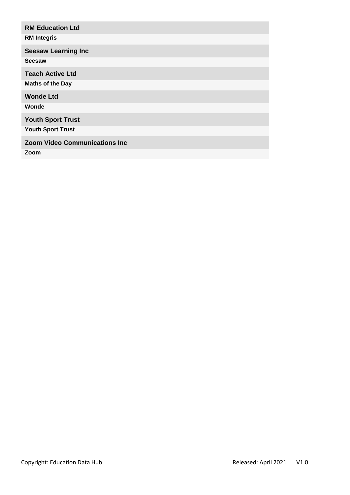| <b>RM Education Ltd</b>               |
|---------------------------------------|
| <b>RM Integris</b>                    |
| <b>Seesaw Learning Inc</b>            |
| <b>Seesaw</b>                         |
| <b>Teach Active Ltd</b>               |
| <b>Maths of the Day</b>               |
| <b>Wonde Ltd</b>                      |
| Wonde                                 |
| <b>Youth Sport Trust</b>              |
| <b>Youth Sport Trust</b>              |
| <b>Zoom Video Communications Inc.</b> |
| Zoom                                  |